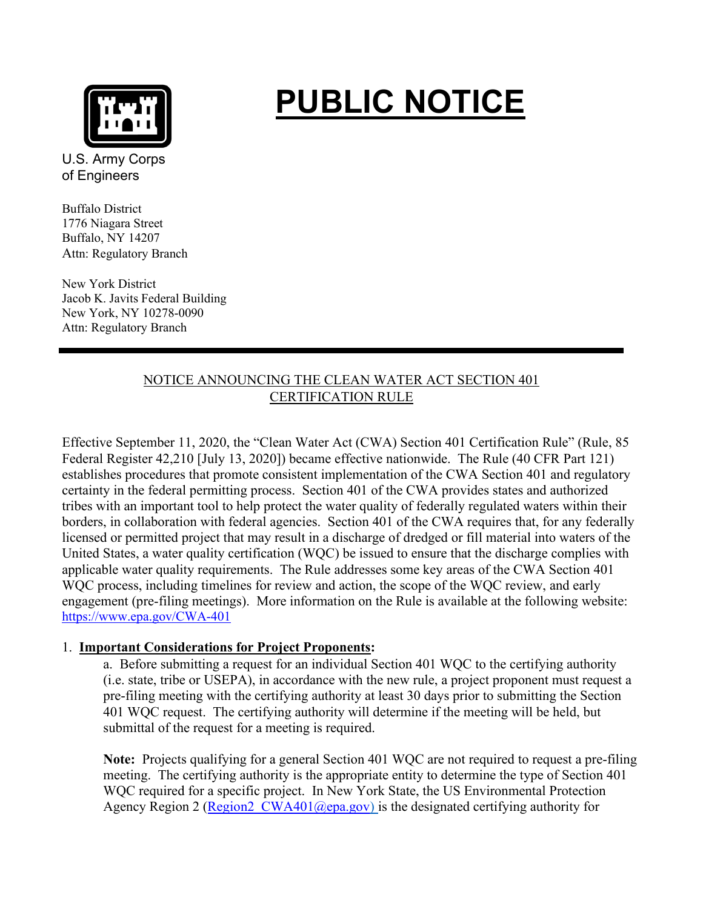

# **PUBLIC NOTICE**

U.S. Army Corps of Engineers

Buffalo District 1776 Niagara Street Buffalo, NY 14207 Attn: Regulatory Branch

New York District Jacob K. Javits Federal Building New York, NY 10278-0090 Attn: Regulatory Branch

# NOTICE ANNOUNCING THE CLEAN WATER ACT SECTION 401 CERTIFICATION RULE

Effective September 11, 2020, the "Clean Water Act (CWA) Section 401 Certification Rule" (Rule, 85 Federal Register 42,210 [July 13, 2020]) became effective nationwide. The Rule (40 CFR Part 121) establishes procedures that promote consistent implementation of the CWA Section 401 and regulatory certainty in the federal permitting process. Section 401 of the CWA provides states and authorized tribes with an important tool to help protect the water quality of federally regulated waters within their borders, in collaboration with federal agencies. Section 401 of the CWA requires that, for any federally licensed or permitted project that may result in a discharge of dredged or fill material into waters of the United States, a water quality certification (WQC) be issued to ensure that the discharge complies with applicable water quality requirements. The Rule addresses some key areas of the CWA Section 401 WQC process, including timelines for review and action, the scope of the WQC review, and early engagement (pre-filing meetings). More information on the Rule is available at the following website: <https://www.epa.gov/CWA-401>

## 1. **Important Considerations for Project Proponents:**

a. Before submitting a request for an individual Section 401 WQC to the certifying authority (i.e. state, tribe or USEPA), in accordance with the new rule, a project proponent must request a pre-filing meeting with the certifying authority at least 30 days prior to submitting the Section 401 WQC request. The certifying authority will determine if the meeting will be held, but submittal of the request for a meeting is required.

**Note:** Projects qualifying for a general Section 401 WQC are not required to request a pre-filing meeting. The certifying authority is the appropriate entity to determine the type of Section 401 WQC required for a specific project. In New York State, the US Environmental Protection Agency Region 2 (Region2  $CWA401$  ( $Qepa.gov$ ) is the designated certifying authority for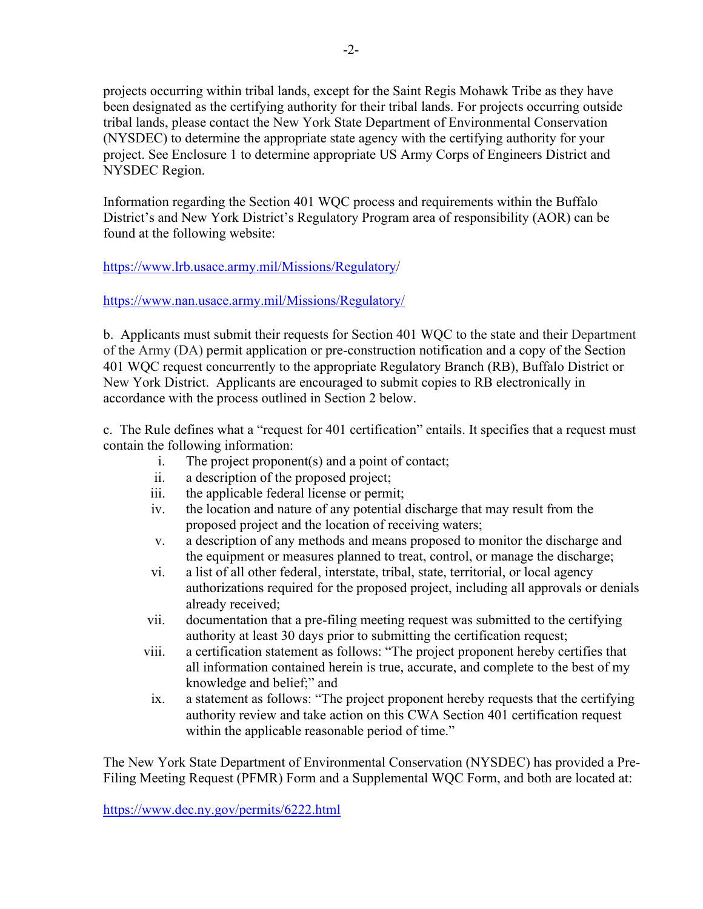projects occurring within tribal lands, except for the Saint Regis Mohawk Tribe as they have been designated as the certifying authority for their tribal lands. For projects occurring outside tribal lands, please contact the New York State Department of Environmental Conservation (NYSDEC) to determine the appropriate state agency with the certifying authority for your project. See Enclosure 1 to determine appropriate US Army Corps of Engineers District and NYSDEC Region.

Information regarding the Section 401 WQC process and requirements within the Buffalo District's and New York District's Regulatory Program area of responsibility (AOR) can be found at the following website:

### [https://www.lrb.usace.army.mil/Missions/Regulatory/](https://www.lrb.usace.army.mil/Missions/Regulatory)

### <https://www.nan.usace.army.mil/Missions/Regulatory/>

b. Applicants must submit their requests for Section 401 WQC to the state and their Department of the Army (DA) permit application or pre-construction notification and a copy of the Section 401 WQC request concurrently to the appropriate Regulatory Branch (RB), Buffalo District or New York District. Applicants are encouraged to submit copies to RB electronically in accordance with the process outlined in Section 2 below.

c. The Rule defines what a "request for 401 certification" entails. It specifies that a request must contain the following information:

- i. The project proponent(s) and a point of contact;
- ii. a description of the proposed project;
- iii. the applicable federal license or permit;
- iv. the location and nature of any potential discharge that may result from the proposed project and the location of receiving waters;
- v. a description of any methods and means proposed to monitor the discharge and the equipment or measures planned to treat, control, or manage the discharge;
- vi. a list of all other federal, interstate, tribal, state, territorial, or local agency authorizations required for the proposed project, including all approvals or denials already received;
- vii. documentation that a pre-filing meeting request was submitted to the certifying authority at least 30 days prior to submitting the certification request;
- viii. a certification statement as follows: "The project proponent hereby certifies that all information contained herein is true, accurate, and complete to the best of my knowledge and belief;" and
- ix. a statement as follows: "The project proponent hereby requests that the certifying authority review and take action on this CWA Section 401 certification request within the applicable reasonable period of time."

The New York State Department of Environmental Conservation (NYSDEC) has provided a Pre-Filing Meeting Request (PFMR) Form and a Supplemental WQC Form, and both are located at:

<https://www.dec.ny.gov/permits/6222.html>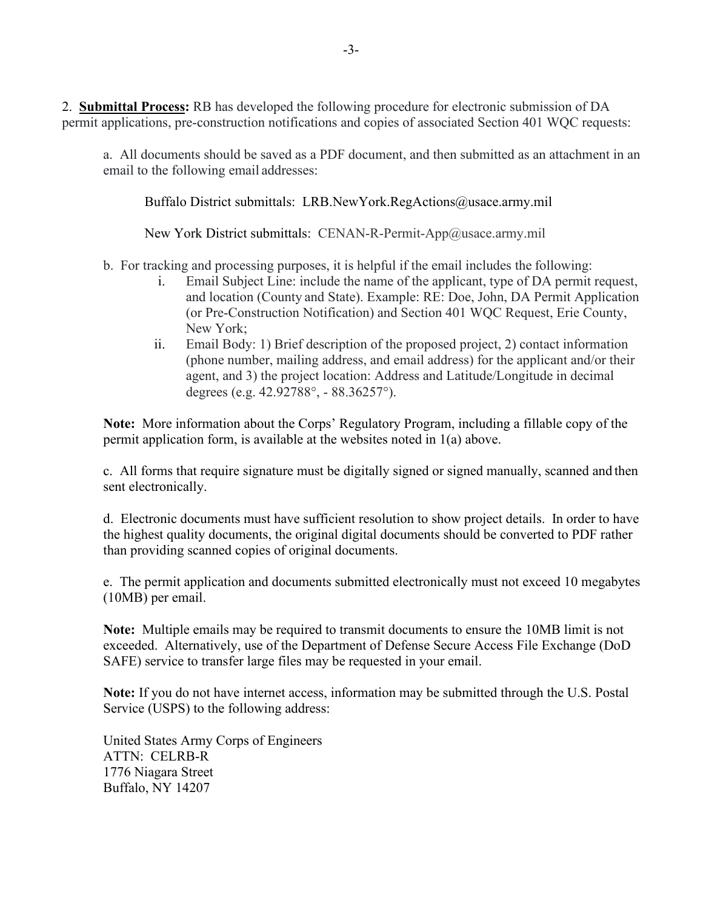2. **Submittal Process:** RB has developed the following procedure for electronic submission of DA permit applications, pre-construction notifications and copies of associated Section 401 WQC requests:

a. All documents should be saved as a PDF document, and then submitted as an attachment in an email to the following email addresses:

Buffalo District submittals: LRB.NewYork.RegActions@usace.army.mil

New York District submittals: CENAN-R-Permit-App@usace.army.mil

b. For tracking and processing purposes, it is helpful if the email includes the following:

- i. Email Subject Line: include the name of the applicant, type of DA permit request, and location (County and State). Example: RE: Doe, John, DA Permit Application (or Pre-Construction Notification) and Section 401 WQC Request, Erie County, New York;
- ii. Email Body: 1) Brief description of the proposed project, 2) contact information (phone number, mailing address, and email address) for the applicant and/or their agent, and 3) the project location: Address and Latitude/Longitude in decimal degrees (e.g. 42.92788°, - 88.36257°).

**Note:** More information about the Corps' Regulatory Program, including a fillable copy of the permit application form, is available at the websites noted in 1(a) above.

c. All forms that require signature must be digitally signed or signed manually, scanned and then sent electronically.

d. Electronic documents must have sufficient resolution to show project details. In order to have the highest quality documents, the original digital documents should be converted to PDF rather than providing scanned copies of original documents.

e. The permit application and documents submitted electronically must not exceed 10 megabytes (10MB) per email.

**Note:** Multiple emails may be required to transmit documents to ensure the 10MB limit is not exceeded. Alternatively, use of the Department of Defense Secure Access File Exchange (DoD SAFE) service to transfer large files may be requested in your email.

**Note:** If you do not have internet access, information may be submitted through the U.S. Postal Service (USPS) to the following address:

United States Army Corps of Engineers ATTN: CELRB-R 1776 Niagara Street Buffalo, NY 14207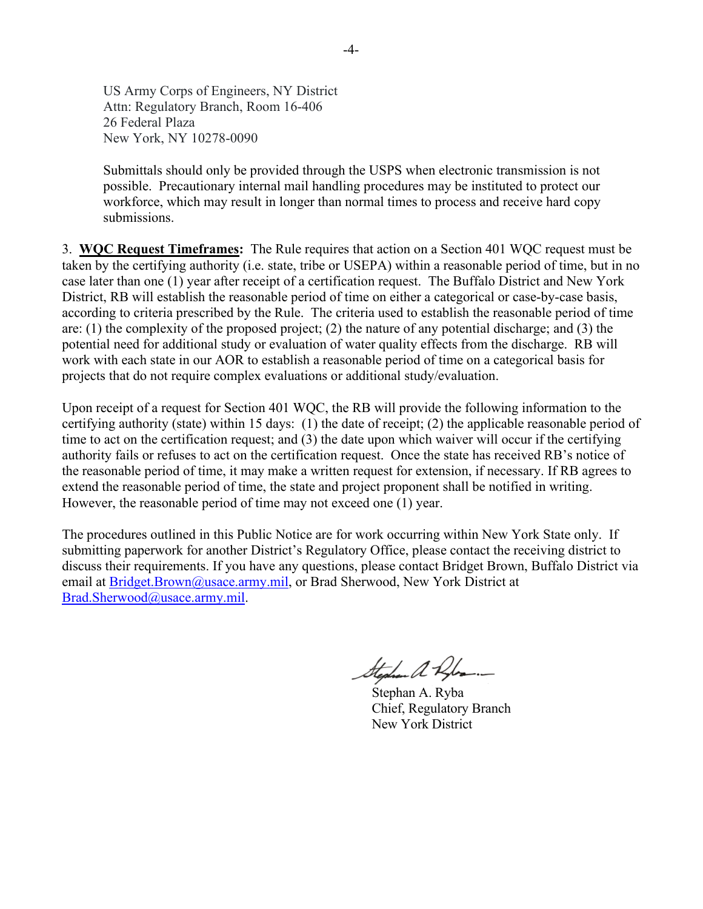US Army Corps of Engineers, NY District Attn: Regulatory Branch, Room 16-406 26 Federal Plaza New York, NY 10278-0090

Submittals should only be provided through the USPS when electronic transmission is not possible. Precautionary internal mail handling procedures may be instituted to protect our workforce, which may result in longer than normal times to process and receive hard copy submissions.

3. **WQC Request Timeframes:** The Rule requires that action on a Section 401 WQC request must be taken by the certifying authority (i.e. state, tribe or USEPA) within a reasonable period of time, but in no case later than one (1) year after receipt of a certification request. The Buffalo District and New York District, RB will establish the reasonable period of time on either a categorical or case-by-case basis, according to criteria prescribed by the Rule. The criteria used to establish the reasonable period of time are: (1) the complexity of the proposed project; (2) the nature of any potential discharge; and (3) the potential need for additional study or evaluation of water quality effects from the discharge. RB will work with each state in our AOR to establish a reasonable period of time on a categorical basis for projects that do not require complex evaluations or additional study/evaluation.

Upon receipt of a request for Section 401 WQC, the RB will provide the following information to the certifying authority (state) within 15 days: (1) the date of receipt; (2) the applicable reasonable period of time to act on the certification request; and (3) the date upon which waiver will occur if the certifying authority fails or refuses to act on the certification request. Once the state has received RB's notice of the reasonable period of time, it may make a written request for extension, if necessary. If RB agrees to extend the reasonable period of time, the state and project proponent shall be notified in writing. However, the reasonable period of time may not exceed one (1) year.

The procedures outlined in this Public Notice are for work occurring within New York State only. If submitting paperwork for another District's Regulatory Office, please contact the receiving district to discuss their requirements. If you have any questions, please contact Bridget Brown, Buffalo District via email at [Bridget.Brown@usace.army.mil,](mailto:Bridget.Brown@usace.army.mil) or Brad Sherwood, New York District at [Brad.Sherwood@usace.army.mil.](mailto:Brad.Sherwood@usace.army.mil)

Stephen a Rober.

 Stephan A. Ryba Chief, Regulatory Branch New York District